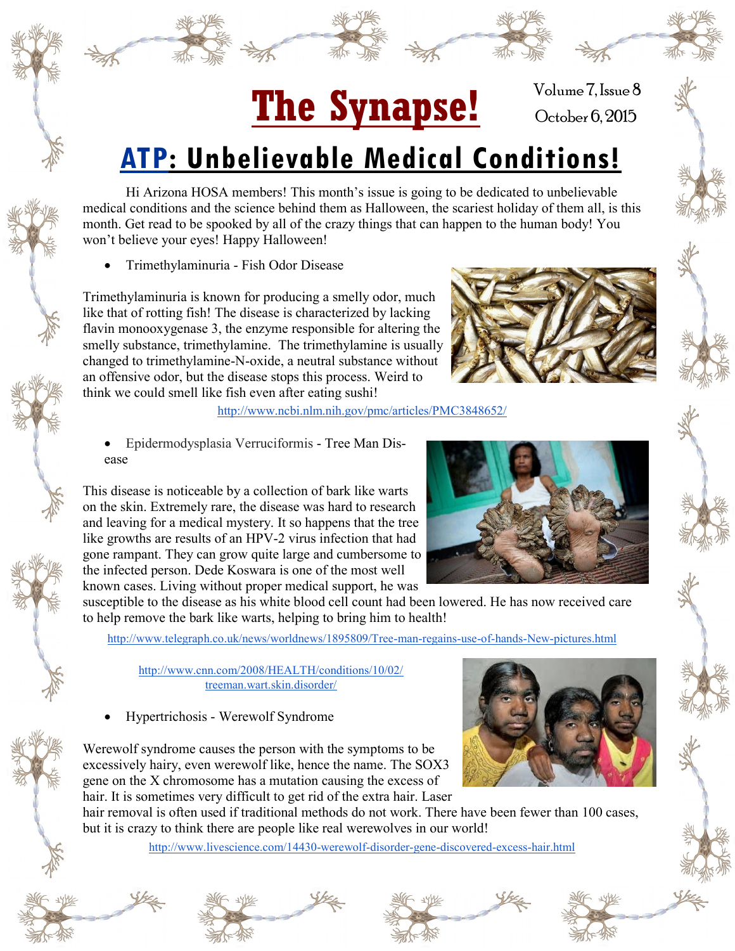## The Synapse! October 6, 2015

Volume 7, Issue 8

## **ATP: Unbelievable Medical Conditions!**

Hi Arizona HOSA members! This month's issue is going to be dedicated to unbelievable medical conditions and the science behind them as Halloween, the scariest holiday of them all, is this month. Get read to be spooked by all of the crazy things that can happen to the human body! You won't believe your eyes! Happy Halloween!

Trimethylaminuria - Fish Odor Disease

Trimethylaminuria is known for producing a smelly odor, much like that of rotting fish! The disease is characterized by lacking flavin monooxygenase 3, the enzyme responsible for altering the smelly substance, trimethylamine. The trimethylamine is usually changed to trimethylamine-N-oxide, a neutral substance without an offensive odor, but the disease stops this process. Weird to think we could smell like fish even after eating sushi!

<http://www.ncbi.nlm.nih.gov/pmc/articles/PMC3848652/>

 Epidermodysplasia Verruciformis - Tree Man Disease

This disease is noticeable by a collection of bark like warts on the skin. Extremely rare, the disease was hard to research and leaving for a medical mystery. It so happens that the tree like growths are results of an HPV-2 virus infection that had gone rampant. They can grow quite large and cumbersome to the infected person. Dede Koswara is one of the most well known cases. Living without proper medical support, he was

susceptible to the disease as his white blood cell count had been lowered. He has now received care to help remove the bark like warts, helping to bring him to health!

[http://www.telegraph.co.uk/news/worldnews/1895809/Tree](http://www.telegraph.co.uk/news/worldnews/1895809/Tree-man-regains-use-of-hands-New-pictures.html)-man-regains-use-of-hands-New-pictures.html

[http://www.cnn.com/2008/HEALTH/conditions/10/02/](http://www.cnn.com/2008/HEALTH/conditions/10/02/treeman.wart.skin.disorder/) [treeman.wart.skin.disorder/](http://www.cnn.com/2008/HEALTH/conditions/10/02/treeman.wart.skin.disorder/)

Hypertrichosis - Werewolf Syndrome

Werewolf syndrome causes the person with the symptoms to be excessively hairy, even werewolf like, hence the name. The SOX3 gene on the X chromosome has a mutation causing the excess of hair. It is sometimes very difficult to get rid of the extra hair. Laser

hair removal is often used if traditional methods do not work. There have been fewer than 100 cases, but it is crazy to think there are people like real werewolves in our world!

[http://www.livescience.com/14430](http://www.livescience.com/14430-werewolf-disorder-gene-discovered-excess-hair.html)-werewolf-disorder-gene-discovered-excess-hair.html